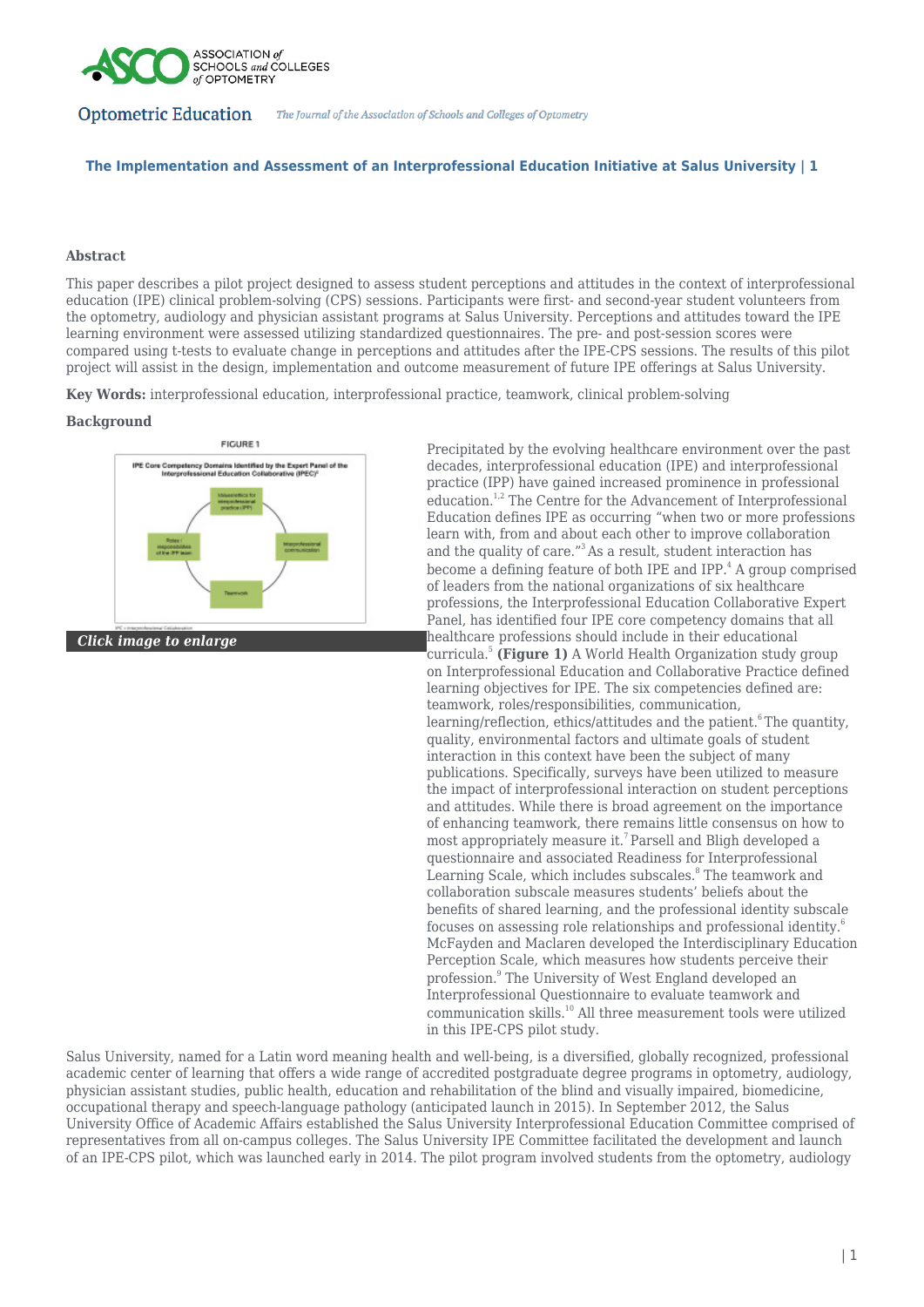

## **The Implementation and Assessment of an Interprofessional Education Initiative at Salus University | 1**

#### **Abstract**

This paper describes a pilot project designed to assess student perceptions and attitudes in the context of interprofessional education (IPE) clinical problem-solving (CPS) sessions. Participants were first- and second-year student volunteers from the optometry, audiology and physician assistant programs at Salus University. Perceptions and attitudes toward the IPE learning environment were assessed utilizing standardized questionnaires. The pre- and post-session scores were compared using t-tests to evaluate change in perceptions and attitudes after the IPE-CPS sessions. The results of this pilot project will assist in the design, implementation and outcome measurement of future IPE offerings at Salus University.

**Key Words:** interprofessional education, interprofessional practice, teamwork, clinical problem-solving

#### **Background**



*Click image to enlarge*

Precipitated by the evolving healthcare environment over the past decades, interprofessional education (IPE) and interprofessional practice (IPP) have gained increased prominence in professional education.<sup>1,2</sup> The Centre for the Advancement of Interprofessional Education defines IPE as occurring "when two or more professions learn with, from and about each other to improve collaboration and the quality of care."<sup>3</sup>As a result, student interaction has become a defining feature of both IPE and IPP.<sup>4</sup> A group comprised of leaders from the national organizations of six healthcare professions, the Interprofessional Education Collaborative Expert Panel, has identified four IPE core competency domains that all healthcare professions should include in their educational curricula.<sup>5</sup> **(Figure 1)** A World Health Organization study group on Interprofessional Education and Collaborative Practice defined learning objectives for IPE. The six competencies defined are: teamwork, roles/responsibilities, communication, learning/reflection, ethics/attitudes and the patient.<sup>6</sup>The quantity, quality, environmental factors and ultimate goals of student interaction in this context have been the subject of many publications. Specifically, surveys have been utilized to measure the impact of interprofessional interaction on student perceptions and attitudes. While there is broad agreement on the importance of enhancing teamwork, there remains little consensus on how to most appropriately measure it.<sup>7</sup> Parsell and Bligh developed a questionnaire and associated Readiness for Interprofessional Learning Scale, which includes subscales.<sup>8</sup> The teamwork and collaboration subscale measures students' beliefs about the benefits of shared learning, and the professional identity subscale focuses on assessing role relationships and professional identity.<sup>6</sup> McFayden and Maclaren developed the Interdisciplinary Education Perception Scale, which measures how students perceive their profession.<sup>9</sup> The University of West England developed an Interprofessional Questionnaire to evaluate teamwork and communication skills.<sup>10</sup> All three measurement tools were utilized in this IPE-CPS pilot study.

Salus University, named for a Latin word meaning health and well-being, is a diversified, globally recognized, professional academic center of learning that offers a wide range of accredited postgraduate degree programs in optometry, audiology, physician assistant studies, public health, education and rehabilitation of the blind and visually impaired, biomedicine, occupational therapy and speech-language pathology (anticipated launch in 2015). In September 2012, the Salus University Office of Academic Affairs established the Salus University Interprofessional Education Committee comprised of representatives from all on-campus colleges. The Salus University IPE Committee facilitated the development and launch of an IPE-CPS pilot, which was launched early in 2014. The pilot program involved students from the optometry, audiology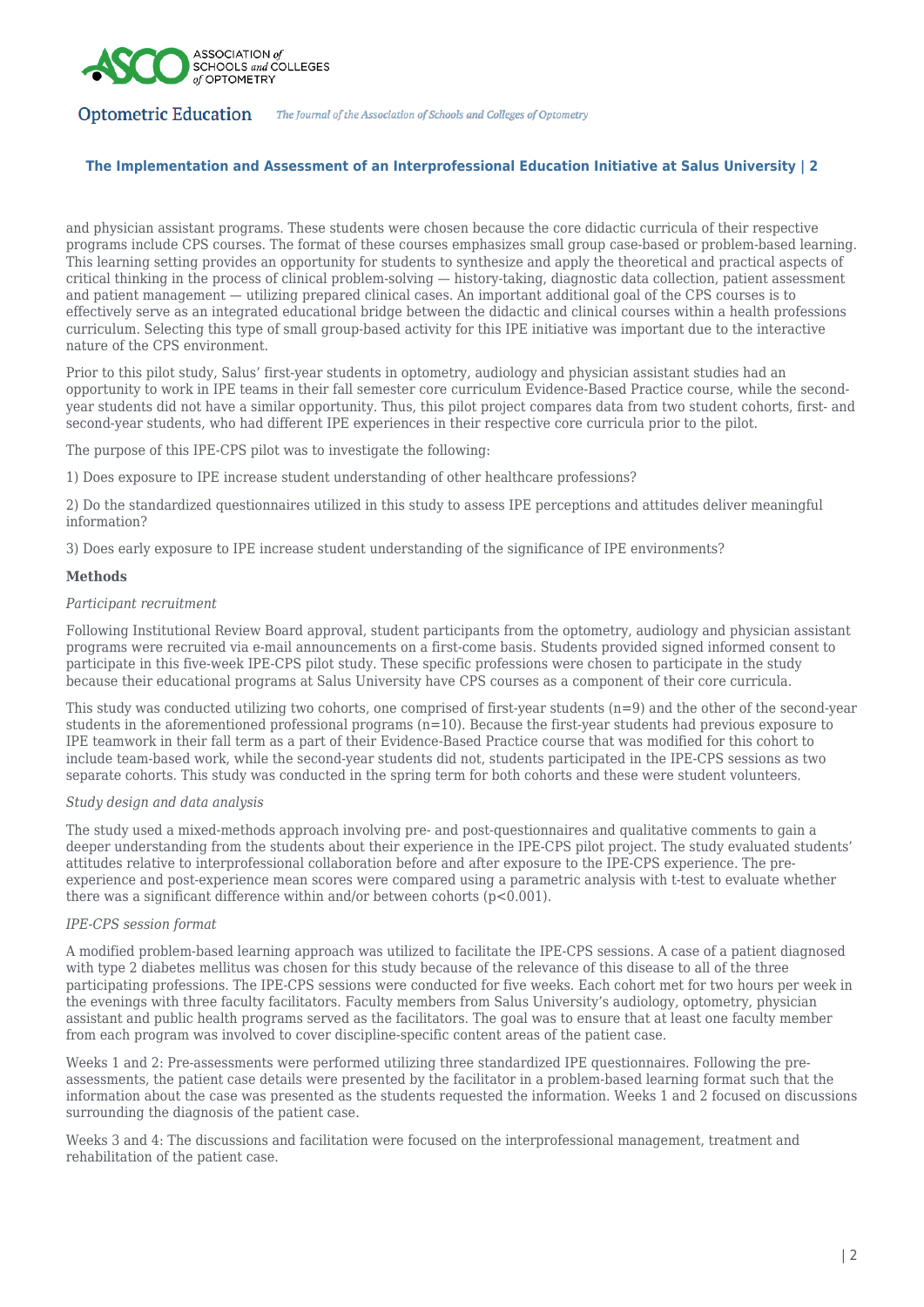

## **The Implementation and Assessment of an Interprofessional Education Initiative at Salus University | 2**

and physician assistant programs. These students were chosen because the core didactic curricula of their respective programs include CPS courses. The format of these courses emphasizes small group case-based or problem-based learning. This learning setting provides an opportunity for students to synthesize and apply the theoretical and practical aspects of critical thinking in the process of clinical problem-solving — history-taking, diagnostic data collection, patient assessment and patient management — utilizing prepared clinical cases. An important additional goal of the CPS courses is to effectively serve as an integrated educational bridge between the didactic and clinical courses within a health professions curriculum. Selecting this type of small group-based activity for this IPE initiative was important due to the interactive nature of the CPS environment.

Prior to this pilot study, Salus' first-year students in optometry, audiology and physician assistant studies had an opportunity to work in IPE teams in their fall semester core curriculum Evidence-Based Practice course, while the secondyear students did not have a similar opportunity. Thus, this pilot project compares data from two student cohorts, first- and second-year students, who had different IPE experiences in their respective core curricula prior to the pilot.

The purpose of this IPE-CPS pilot was to investigate the following:

1) Does exposure to IPE increase student understanding of other healthcare professions?

2) Do the standardized questionnaires utilized in this study to assess IPE perceptions and attitudes deliver meaningful information?

3) Does early exposure to IPE increase student understanding of the significance of IPE environments?

#### **Methods**

#### *Participant recruitment*

Following Institutional Review Board approval, student participants from the optometry, audiology and physician assistant programs were recruited via e-mail announcements on a first-come basis. Students provided signed informed consent to participate in this five-week IPE-CPS pilot study. These specific professions were chosen to participate in the study because their educational programs at Salus University have CPS courses as a component of their core curricula.

This study was conducted utilizing two cohorts, one comprised of first-year students  $(n=9)$  and the other of the second-year students in the aforementioned professional programs  $(n=10)$ . Because the first-year students had previous exposure to IPE teamwork in their fall term as a part of their Evidence-Based Practice course that was modified for this cohort to include team-based work, while the second-year students did not, students participated in the IPE-CPS sessions as two separate cohorts. This study was conducted in the spring term for both cohorts and these were student volunteers.

#### *Study design and data analysis*

The study used a mixed-methods approach involving pre- and post-questionnaires and qualitative comments to gain a deeper understanding from the students about their experience in the IPE-CPS pilot project. The study evaluated students' attitudes relative to interprofessional collaboration before and after exposure to the IPE-CPS experience. The preexperience and post-experience mean scores were compared using a parametric analysis with t-test to evaluate whether there was a significant difference within and/or between cohorts (p<0.001).

## *IPE-CPS session format*

A modified problem-based learning approach was utilized to facilitate the IPE-CPS sessions. A case of a patient diagnosed with type 2 diabetes mellitus was chosen for this study because of the relevance of this disease to all of the three participating professions. The IPE-CPS sessions were conducted for five weeks. Each cohort met for two hours per week in the evenings with three faculty facilitators. Faculty members from Salus University's audiology, optometry, physician assistant and public health programs served as the facilitators. The goal was to ensure that at least one faculty member from each program was involved to cover discipline-specific content areas of the patient case.

Weeks 1 and 2: Pre-assessments were performed utilizing three standardized IPE questionnaires. Following the preassessments, the patient case details were presented by the facilitator in a problem-based learning format such that the information about the case was presented as the students requested the information. Weeks 1 and 2 focused on discussions surrounding the diagnosis of the patient case.

Weeks 3 and 4: The discussions and facilitation were focused on the interprofessional management, treatment and rehabilitation of the patient case.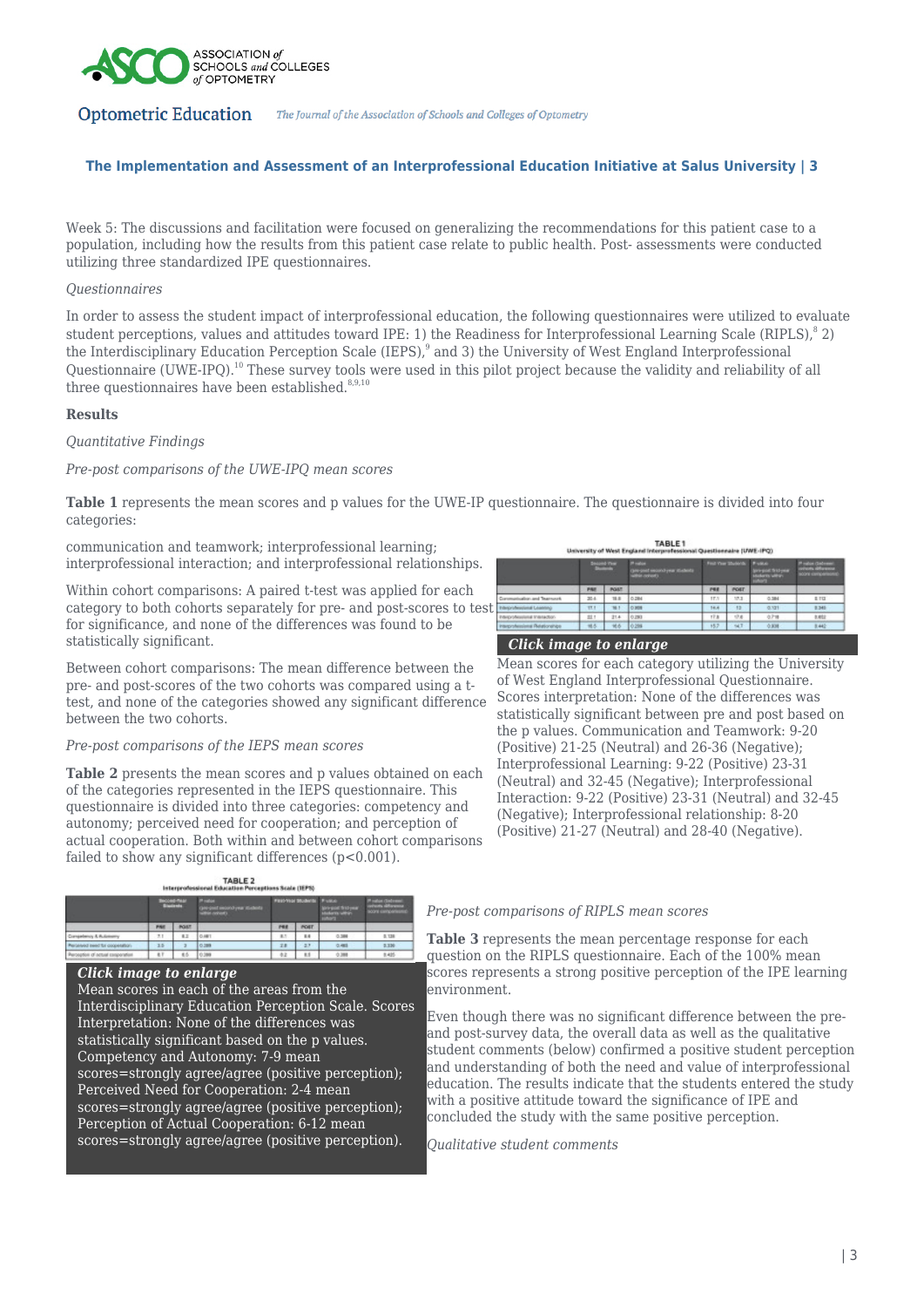

## **The Implementation and Assessment of an Interprofessional Education Initiative at Salus University | 3**

Week 5: The discussions and facilitation were focused on generalizing the recommendations for this patient case to a population, including how the results from this patient case relate to public health. Post- assessments were conducted utilizing three standardized IPE questionnaires.

#### *Questionnaires*

In order to assess the student impact of interprofessional education, the following questionnaires were utilized to evaluate student perceptions, values and attitudes toward IPE: 1) the Readiness for Interprofessional Learning Scale (RIPLS), $^8$  2) the Interdisciplinary Education Perception Scale (IEPS),<sup>9</sup> and 3) the University of West England Interprofessional Questionnaire (UWE-IPQ).<sup>10</sup> These survey tools were used in this pilot project because the validity and reliability of all three questionnaires have been established. $8,9,10$ 

## **Results**

## *Quantitative Findings*

## *Pre-post comparisons of the UWE-IPQ mean scores*

**Table 1** represents the mean scores and p values for the UWE-IP questionnaire. The questionnaire is divided into four categories:

communication and teamwork; interprofessional learning; interprofessional interaction; and interprofessional relationships.

Within cohort comparisons: A paired t-test was applied for each category to both cohorts separately for pre- and post-scores to test for significance, and none of the differences was found to be statistically significant.

Between cohort comparisons: The mean difference between the pre- and post-scores of the two cohorts was compared using a ttest, and none of the categories showed any significant difference between the two cohorts.

#### *Pre-post comparisons of the IEPS mean scores*

**Table 2** presents the mean scores and p values obtained on each of the categories represented in the IEPS questionnaire. This questionnaire is divided into three categories: competency and autonomy; perceived need for cooperation; and perception of actual cooperation. Both within and between cohort comparisons failed to show any significant differences  $(p<0.001)$ .



#### *Click image to enlarge*

Mean scores in each of the areas from the Interdisciplinary Education Perception Scale. Scores Interpretation: None of the differences was statistically significant based on the p values. Competency and Autonomy: 7-9 mean scores=strongly agree/agree (positive perception); Perceived Need for Cooperation: 2-4 mean scores=strongly agree/agree (positive perception); Perception of Actual Cooperation: 6-12 mean scores=strongly agree/agree (positive perception).

| TABLE <sub>1</sub><br>University of West England Interprefessional Questionnaire (UWE-IPQ) |                          |       |                                                                  |                             |        |                                             |                                                                     |
|--------------------------------------------------------------------------------------------|--------------------------|-------|------------------------------------------------------------------|-----------------------------|--------|---------------------------------------------|---------------------------------------------------------------------|
|                                                                                            | <b>Second Year</b><br>ست |       | <b>Photos</b><br>Gregorit escond year students<br>within consent | Fed Your Students: Printers |        | Windows State House<br>Autority within<br>_ | <b><i><u>Follow (Sedan</u></i></b><br>oriens allow<br>score competi |
|                                                                                            | PAI                      | POST. |                                                                  | PEE                         | POST   |                                             |                                                                     |
| <b>Institute and Teamwork</b>                                                              | 20.6.                    | 18.8  | 0.284                                                            | IF.1                        | 17.1   | 0.384                                       | 1TI                                                                 |
| <b><i><u>Americanal Livenstons</u></i></b>                                                 | TEI                      | 76.1  | <b>LOUNS</b>                                                     | 14.4                        | 13     | 0.101                                       | <b>B.345</b>                                                        |
| <b>IN PAINTING</b>                                                                         | st:                      | 21.4  | 10,293                                                           | <b>TER</b>                  | $-7.8$ | 0.718                                       | tetr                                                                |

152 SET

## *Click image to enlarge*

45 46 028

Mean scores for each category utilizing the University of West England Interprofessional Questionnaire. Scores interpretation: None of the differences was statistically significant between pre and post based on the p values. Communication and Teamwork: 9-20 (Positive) 21-25 (Neutral) and 26-36 (Negative); Interprofessional Learning: 9-22 (Positive) 23-31 (Neutral) and 32-45 (Negative); Interprofessional Interaction: 9-22 (Positive) 23-31 (Neutral) and 32-45 (Negative); Interprofessional relationship: 8-20 (Positive) 21-27 (Neutral) and 28-40 (Negative).

*Pre-post comparisons of RIPLS mean scores*

**Table 3** represents the mean percentage response for each question on the RIPLS questionnaire. Each of the 100% mean scores represents a strong positive perception of the IPE learning environment.

Even though there was no significant difference between the preand post-survey data, the overall data as well as the qualitative student comments (below) confirmed a positive student perception and understanding of both the need and value of interprofessional education. The results indicate that the students entered the study with a positive attitude toward the significance of IPE and concluded the study with the same positive perception.

*Qualitative student comments*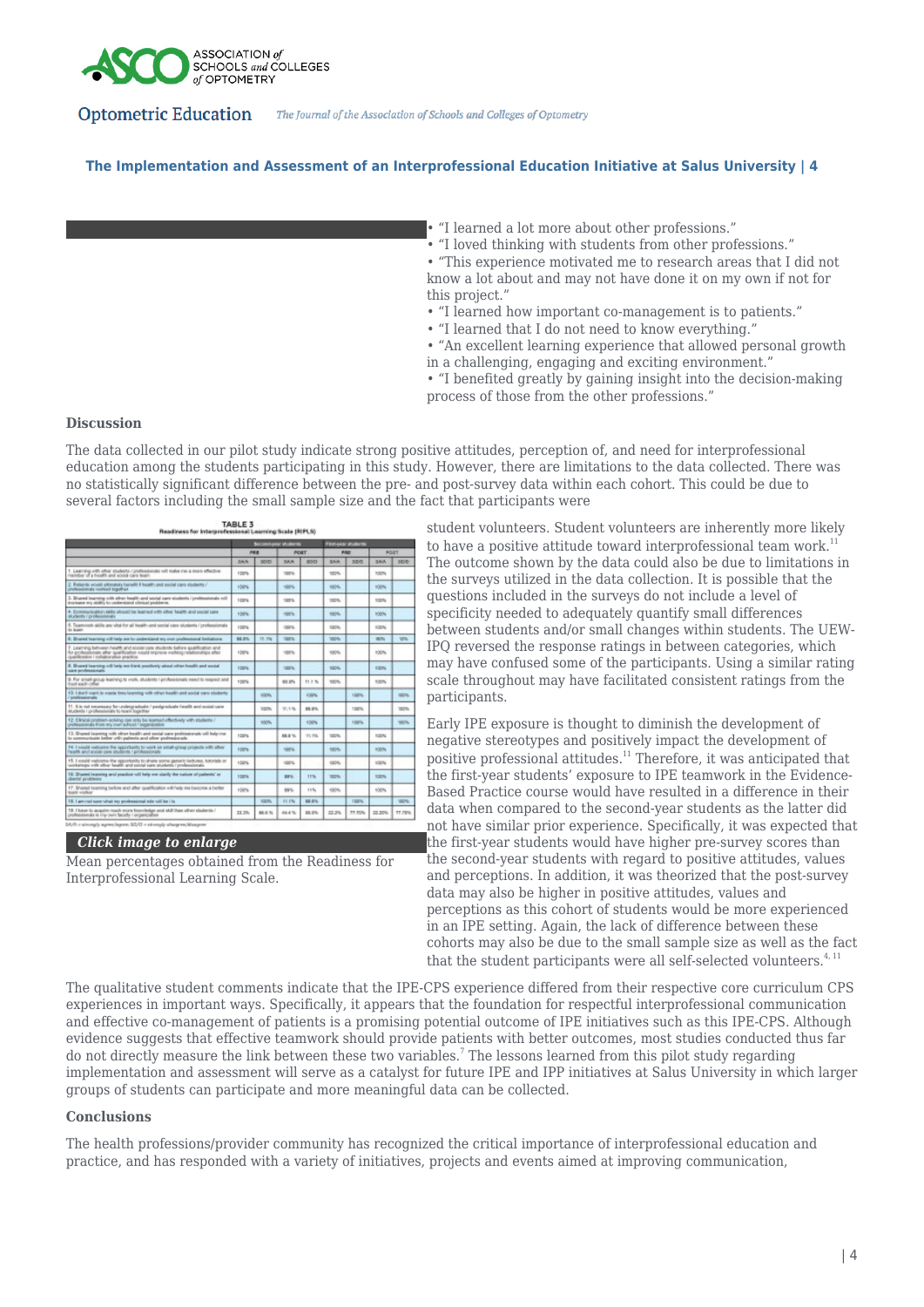

## **The Implementation and Assessment of an Interprofessional Education Initiative at Salus University | 4**

• "I learned a lot more about other professions."

• "I loved thinking with students from other professions."

• "This experience motivated me to research areas that I did not know a lot about and may not have done it on my own if not for this project."

- "I learned how important co-management is to patients."
- "I learned that I do not need to know everything."

• "An excellent learning experience that allowed personal growth in a challenging, engaging and exciting environment."

• "I benefited greatly by gaining insight into the decision-making process of those from the other professions."

## **Discussion**

The data collected in our pilot study indicate strong positive attitudes, perception of, and need for interprofessional education among the students participating in this study. However, there are limitations to the data collected. There was no statistically significant difference between the pre- and post-survey data within each cohort. This could be due to several factors including the small sample size and the fact that participants were



*Click image to enlarge*

Mean percentages obtained from the Readiness for Interprofessional Learning Scale.

student volunteers. Student volunteers are inherently more likely to have a positive attitude toward interprofessional team work.<sup>1</sup> The outcome shown by the data could also be due to limitations in the surveys utilized in the data collection. It is possible that the questions included in the surveys do not include a level of specificity needed to adequately quantify small differences between students and/or small changes within students. The UEW-IPQ reversed the response ratings in between categories, which may have confused some of the participants. Using a similar rating scale throughout may have facilitated consistent ratings from the participants.

Early IPE exposure is thought to diminish the development of negative stereotypes and positively impact the development of positive professional attitudes.<sup>11</sup> Therefore, it was anticipated that the first-year students' exposure to IPE teamwork in the Evidence-Based Practice course would have resulted in a difference in their data when compared to the second-year students as the latter did not have similar prior experience. Specifically, it was expected that the first-year students would have higher pre-survey scores than the second-year students with regard to positive attitudes, values and perceptions. In addition, it was theorized that the post-survey data may also be higher in positive attitudes, values and perceptions as this cohort of students would be more experienced in an IPE setting. Again, the lack of difference between these cohorts may also be due to the small sample size as well as the fact that the student participants were all self-selected volunteers.<sup>4, 11</sup>

The qualitative student comments indicate that the IPE-CPS experience differed from their respective core curriculum CPS experiences in important ways. Specifically, it appears that the foundation for respectful interprofessional communication and effective co-management of patients is a promising potential outcome of IPE initiatives such as this IPE-CPS. Although evidence suggests that effective teamwork should provide patients with better outcomes, most studies conducted thus far do not directly measure the link between these two variables.<sup>7</sup> The lessons learned from this pilot study regarding implementation and assessment will serve as a catalyst for future IPE and IPP initiatives at Salus University in which larger groups of students can participate and more meaningful data can be collected.

### **Conclusions**

The health professions/provider community has recognized the critical importance of interprofessional education and practice, and has responded with a variety of initiatives, projects and events aimed at improving communication,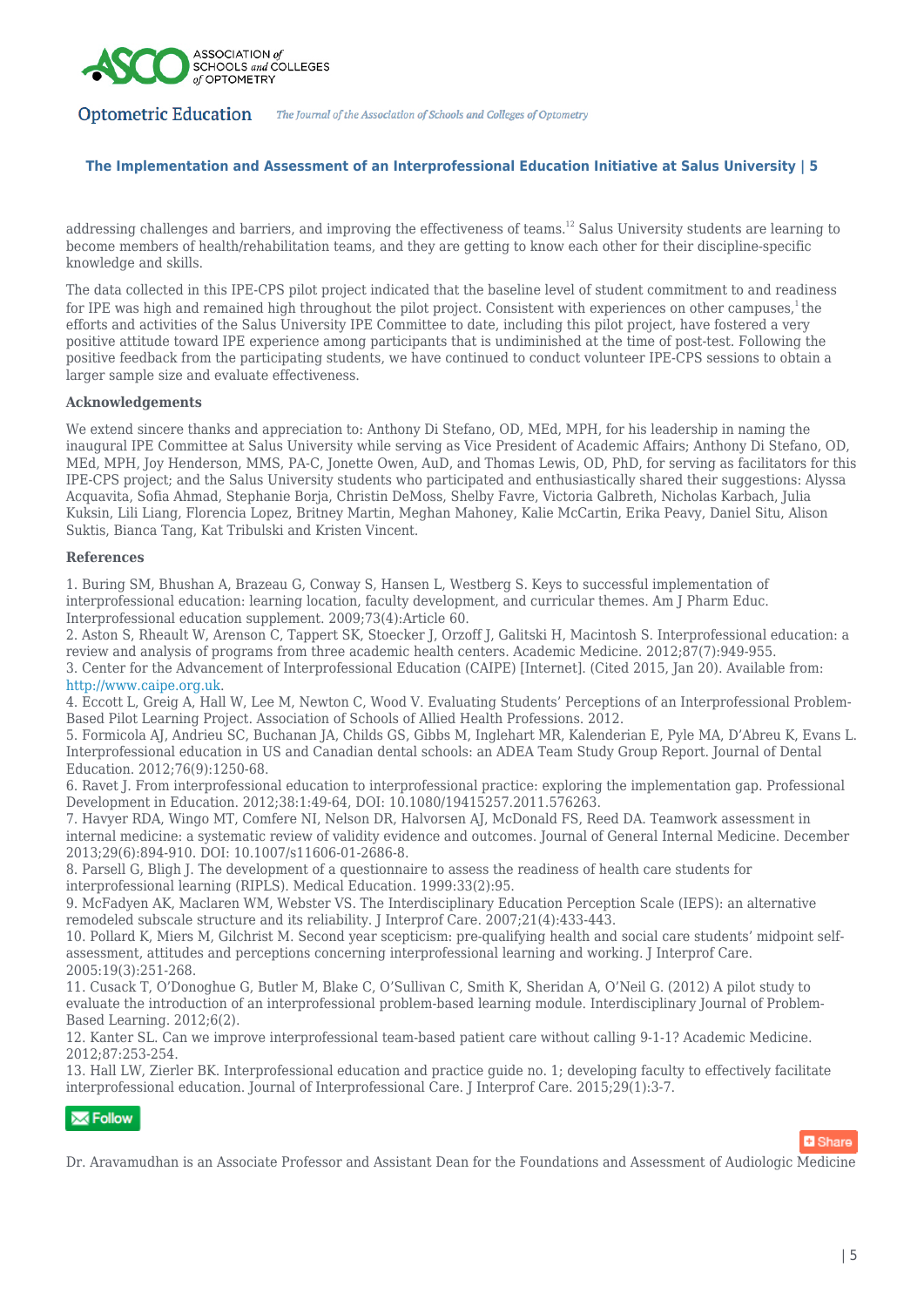

## **The Implementation and Assessment of an Interprofessional Education Initiative at Salus University | 5**

addressing challenges and barriers, and improving the effectiveness of teams.<sup>12</sup> Salus University students are learning to become members of health/rehabilitation teams, and they are getting to know each other for their discipline-specific knowledge and skills.

The data collected in this IPE-CPS pilot project indicated that the baseline level of student commitment to and readiness for IPE was high and remained high throughout the pilot project. Consistent with experiences on other campuses, ${}^{1}$ the efforts and activities of the Salus University IPE Committee to date, including this pilot project, have fostered a very positive attitude toward IPE experience among participants that is undiminished at the time of post-test. Following the positive feedback from the participating students, we have continued to conduct volunteer IPE-CPS sessions to obtain a larger sample size and evaluate effectiveness.

#### **Acknowledgements**

We extend sincere thanks and appreciation to: Anthony Di Stefano, OD, MEd, MPH, for his leadership in naming the inaugural IPE Committee at Salus University while serving as Vice President of Academic Affairs; Anthony Di Stefano, OD, MEd, MPH, Joy Henderson, MMS, PA-C, Jonette Owen, AuD, and Thomas Lewis, OD, PhD, for serving as facilitators for this IPE-CPS project; and the Salus University students who participated and enthusiastically shared their suggestions: Alyssa Acquavita, Sofia Ahmad, Stephanie Borja, Christin DeMoss, Shelby Favre, Victoria Galbreth, Nicholas Karbach, Julia Kuksin, Lili Liang, Florencia Lopez, Britney Martin, Meghan Mahoney, Kalie McCartin, Erika Peavy, Daniel Situ, Alison Suktis, Bianca Tang, Kat Tribulski and Kristen Vincent.

## **References**

1. Buring SM, Bhushan A, Brazeau G, Conway S, Hansen L, Westberg S. Keys to successful implementation of interprofessional education: learning location, faculty development, and curricular themes. Am J Pharm Educ. Interprofessional education supplement. 2009;73(4):Article 60.

2. Aston S, Rheault W, Arenson C, Tappert SK, Stoecker J, Orzoff J, Galitski H, Macintosh S. Interprofessional education: a review and analysis of programs from three academic health centers. Academic Medicine. 2012;87(7):949-955. 3. Center for the Advancement of Interprofessional Education (CAIPE) [Internet]. (Cited 2015, Jan 20). Available from: <http://www.caipe.org.uk>.

4. Eccott L, Greig A, Hall W, Lee M, Newton C, Wood V. Evaluating Students' Perceptions of an Interprofessional Problem-Based Pilot Learning Project. Association of Schools of Allied Health Professions. 2012.

5. Formicola AJ, Andrieu SC, Buchanan JA, Childs GS, Gibbs M, Inglehart MR, Kalenderian E, Pyle MA, D'Abreu K, Evans L. Interprofessional education in US and Canadian dental schools: an ADEA Team Study Group Report. Journal of Dental Education. 2012;76(9):1250-68.

6. Ravet J. From interprofessional education to interprofessional practice: exploring the implementation gap. Professional Development in Education. 2012;38:1:49-64, DOI: 10.1080/19415257.2011.576263.

7. Havyer RDA, Wingo MT, Comfere NI, Nelson DR, Halvorsen AJ, McDonald FS, Reed DA. Teamwork assessment in internal medicine: a systematic review of validity evidence and outcomes. Journal of General Internal Medicine. December 2013;29(6):894-910. DOI: 10.1007/s11606-01-2686-8.

8. Parsell G, Bligh J. The development of a questionnaire to assess the readiness of health care students for interprofessional learning (RIPLS). Medical Education. 1999:33(2):95.

9. McFadyen AK, Maclaren WM, Webster VS. The Interdisciplinary Education Perception Scale (IEPS): an alternative remodeled subscale structure and its reliability. J Interprof Care. 2007;21(4):433-443.

10. Pollard K, Miers M, Gilchrist M. Second year scepticism: pre-qualifying health and social care students' midpoint selfassessment, attitudes and perceptions concerning interprofessional learning and working. J Interprof Care. 2005:19(3):251-268.

11. Cusack T, O'Donoghue G, Butler M, Blake C, O'Sullivan C, Smith K, Sheridan A, O'Neil G. (2012) A pilot study to evaluate the introduction of an interprofessional problem-based learning module. Interdisciplinary Journal of Problem-Based Learning. 2012;6(2).

12. Kanter SL. Can we improve interprofessional team-based patient care without calling 9-1-1? Academic Medicine. 2012;87:253-254.

13. Hall LW, Zierler BK. Interprofessional education and practice guide no. 1; developing faculty to effectively facilitate interprofessional education. Journal of Interprofessional Care. J Interprof Care. 2015;29(1):3-7.

# $\overline{\mathbf{M}}$  Follow



Dr. Aravamudhan is an Associate Professor and Assistant Dean for the Foundations and Assessment of Audiologic Medicine